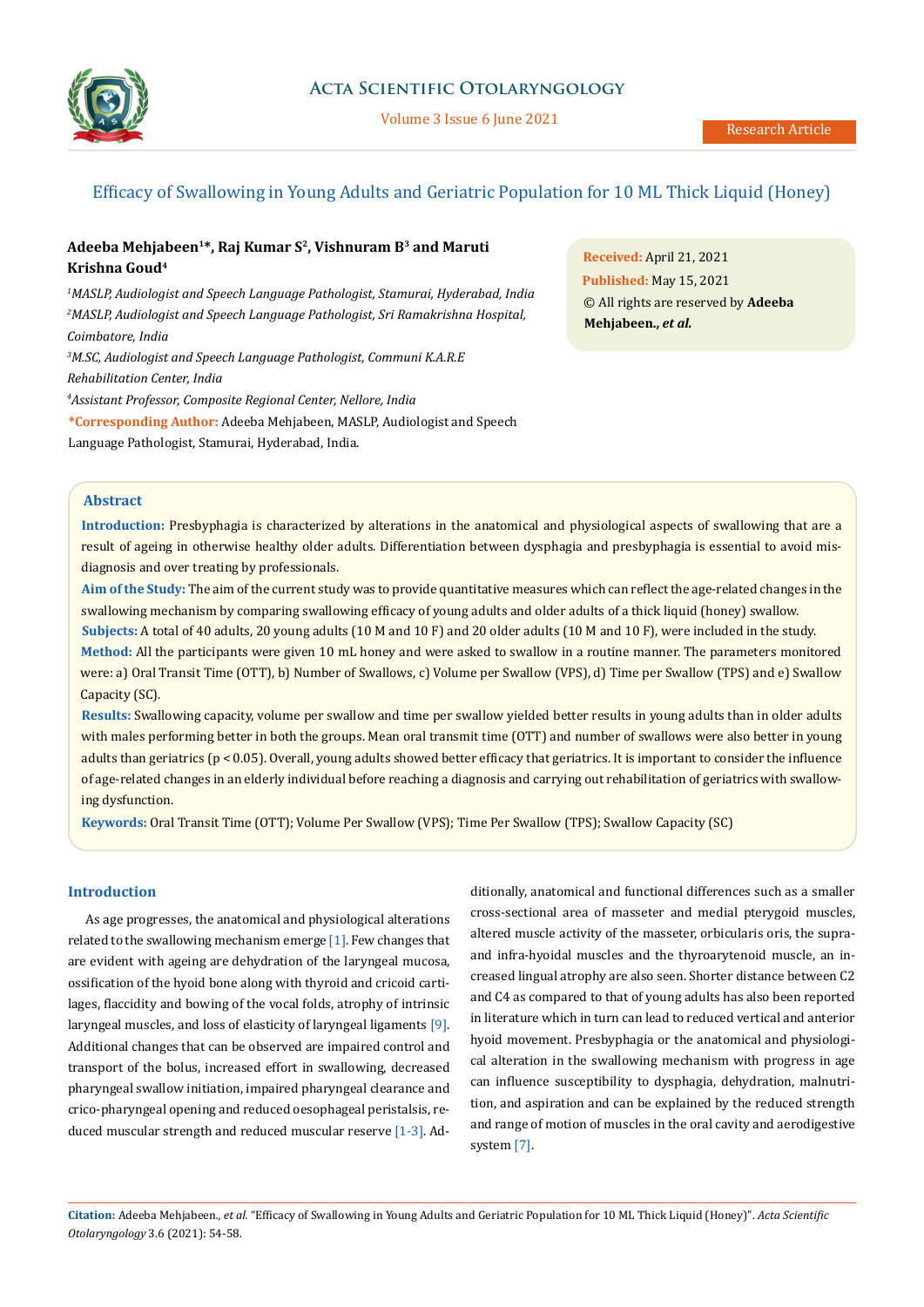

Volume 3 Issue 6 June 2021

# Efficacy of Swallowing in Young Adults and Geriatric Population for 10 ML Thick Liquid (Honey)

# **Adeeba Mehjabeen1\*, Raj Kumar S2, Vishnuram B3 and Maruti Krishna Goud4**

*1 MASLP, Audiologist and Speech Language Pathologist, Stamurai, Hyderabad, India 2 MASLP, Audiologist and Speech Language Pathologist, Sri Ramakrishna Hospital, Coimbatore, India*

*3 M.SC, Audiologist and Speech Language Pathologist, Communi K.A.R.E Rehabilitation Center, India*

*4 Assistant Professor, Composite Regional Center, Nellore, India*

**\*Corresponding Author:** Adeeba Mehjabeen, MASLP, Audiologist and Speech Language Pathologist, Stamurai, Hyderabad, India.

**Received:** April 21, 2021 **Published:** May 15, 2021 © All rights are reserved by **Adeeba Mehjabeen.,** *et al.*

# **Abstract**

**Introduction:** Presbyphagia is characterized by alterations in the anatomical and physiological aspects of swallowing that are a result of ageing in otherwise healthy older adults. Differentiation between dysphagia and presbyphagia is essential to avoid misdiagnosis and over treating by professionals.

**Aim of the Study:** The aim of the current study was to provide quantitative measures which can reflect the age-related changes in the swallowing mechanism by comparing swallowing efficacy of young adults and older adults of a thick liquid (honey) swallow.

**Subjects:** A total of 40 adults, 20 young adults (10 M and 10 F) and 20 older adults (10 M and 10 F), were included in the study. **Method:** All the participants were given 10 mL honey and were asked to swallow in a routine manner. The parameters monitored were: a) Oral Transit Time (OTT), b) Number of Swallows, c) Volume per Swallow (VPS), d) Time per Swallow (TPS) and e) Swallow Capacity (SC).

**Results:** Swallowing capacity, volume per swallow and time per swallow yielded better results in young adults than in older adults with males performing better in both the groups. Mean oral transmit time (OTT) and number of swallows were also better in young adults than geriatrics (p < 0.05). Overall, young adults showed better efficacy that geriatrics. It is important to consider the influence of age-related changes in an elderly individual before reaching a diagnosis and carrying out rehabilitation of geriatrics with swallowing dysfunction.

**Keywords:** Oral Transit Time (OTT); Volume Per Swallow (VPS); Time Per Swallow (TPS); Swallow Capacity (SC)

# **Introduction**

As age progresses, the anatomical and physiological alterations related to the swallowing mechanism emerge [1]. Few changes that are evident with ageing are dehydration of the laryngeal mucosa, ossification of the hyoid bone along with thyroid and cricoid cartilages, flaccidity and bowing of the vocal folds, atrophy of intrinsic laryngeal muscles, and loss of elasticity of laryngeal ligaments [9]. Additional changes that can be observed are impaired control and transport of the bolus, increased effort in swallowing, decreased pharyngeal swallow initiation, impaired pharyngeal clearance and crico-pharyngeal opening and reduced oesophageal peristalsis, reduced muscular strength and reduced muscular reserve [1-3]. Additionally, anatomical and functional differences such as a smaller cross-sectional area of masseter and medial pterygoid muscles, altered muscle activity of the masseter, orbicularis oris, the supraand infra-hyoidal muscles and the thyroarytenoid muscle, an increased lingual atrophy are also seen. Shorter distance between C2 and C4 as compared to that of young adults has also been reported in literature which in turn can lead to reduced vertical and anterior hyoid movement. Presbyphagia or the anatomical and physiological alteration in the swallowing mechanism with progress in age can influence susceptibility to dysphagia, dehydration, malnutrition, and aspiration and can be explained by the reduced strength and range of motion of muscles in the oral cavity and aerodigestive system [7].

**Citation:** Adeeba Mehjabeen*., et al.* "Efficacy of Swallowing in Young Adults and Geriatric Population for 10 ML Thick Liquid (Honey)". *Acta Scientific Otolaryngology* 3.6 (2021): 54-58.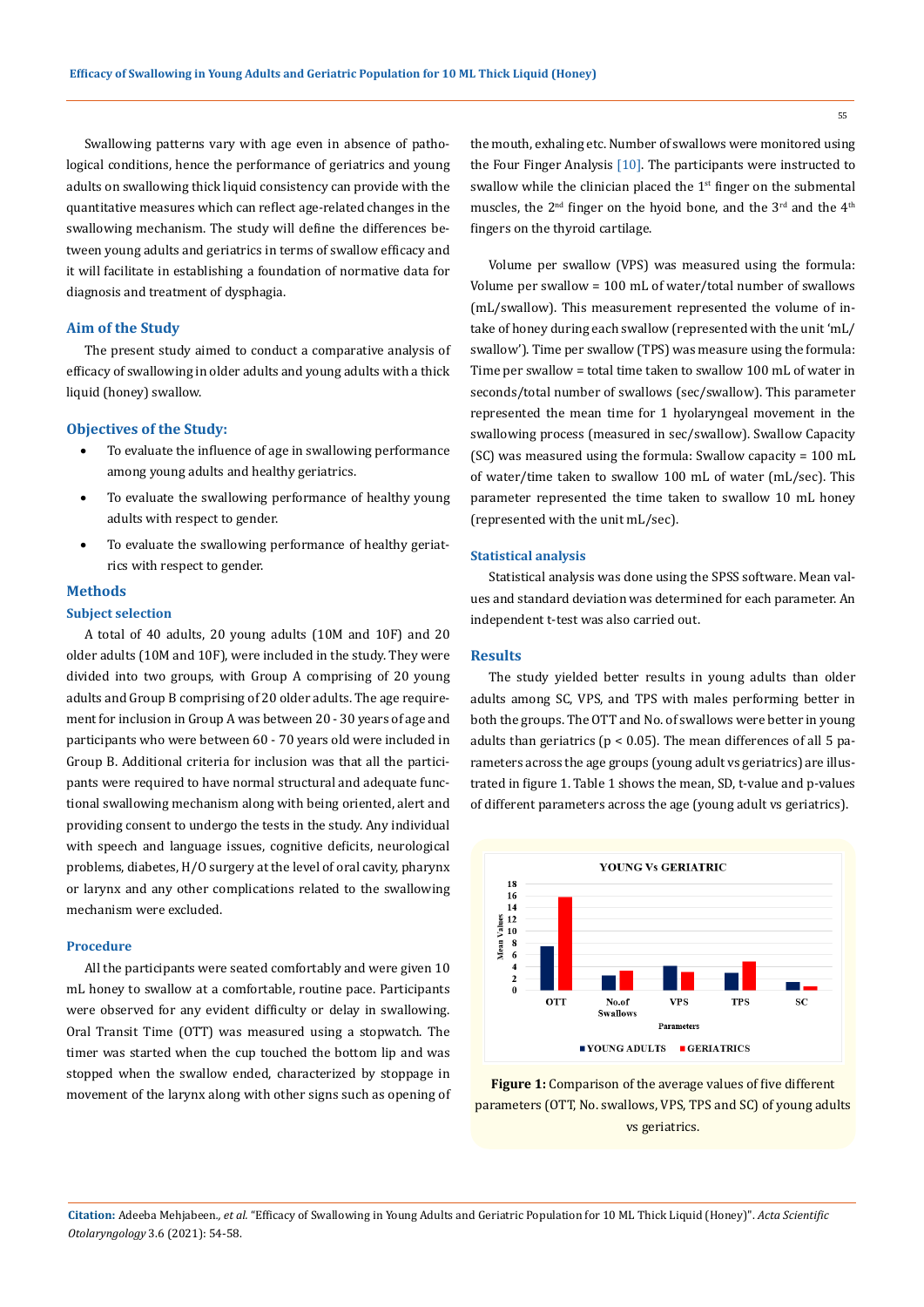Swallowing patterns vary with age even in absence of pathological conditions, hence the performance of geriatrics and young adults on swallowing thick liquid consistency can provide with the quantitative measures which can reflect age-related changes in the swallowing mechanism. The study will define the differences between young adults and geriatrics in terms of swallow efficacy and it will facilitate in establishing a foundation of normative data for diagnosis and treatment of dysphagia.

#### **Aim of the Study**

The present study aimed to conduct a comparative analysis of efficacy of swallowing in older adults and young adults with a thick liquid (honey) swallow.

#### **Objectives of the Study:**

- To evaluate the influence of age in swallowing performance among young adults and healthy geriatrics.
- To evaluate the swallowing performance of healthy young adults with respect to gender.
- To evaluate the swallowing performance of healthy geriatrics with respect to gender.

#### **Methods**

## **Subject selection**

A total of 40 adults, 20 young adults (10M and 10F) and 20 older adults (10M and 10F), were included in the study. They were divided into two groups, with Group A comprising of 20 young adults and Group B comprising of 20 older adults. The age requirement for inclusion in Group A was between 20 - 30 years of age and participants who were between 60 - 70 years old were included in Group B. Additional criteria for inclusion was that all the participants were required to have normal structural and adequate functional swallowing mechanism along with being oriented, alert and providing consent to undergo the tests in the study. Any individual with speech and language issues, cognitive deficits, neurological problems, diabetes, H/O surgery at the level of oral cavity, pharynx or larynx and any other complications related to the swallowing mechanism were excluded.

#### **Procedure**

All the participants were seated comfortably and were given 10 mL honey to swallow at a comfortable, routine pace. Participants were observed for any evident difficulty or delay in swallowing. Oral Transit Time (OTT) was measured using a stopwatch. The timer was started when the cup touched the bottom lip and was stopped when the swallow ended, characterized by stoppage in movement of the larynx along with other signs such as opening of the mouth, exhaling etc. Number of swallows were monitored using the Four Finger Analysis  $[10]$ . The participants were instructed to swallow while the clinician placed the  $1<sup>st</sup>$  finger on the submental muscles, the 2<sup>nd</sup> finger on the hyoid bone, and the 3<sup>rd</sup> and the 4<sup>th</sup> fingers on the thyroid cartilage.

Volume per swallow (VPS) was measured using the formula: Volume per swallow = 100 mL of water/total number of swallows (mL/swallow). This measurement represented the volume of intake of honey during each swallow (represented with the unit 'mL/ swallow'). Time per swallow (TPS) was measure using the formula: Time per swallow = total time taken to swallow 100 mL of water in seconds/total number of swallows (sec/swallow). This parameter represented the mean time for 1 hyolaryngeal movement in the swallowing process (measured in sec/swallow). Swallow Capacity (SC) was measured using the formula: Swallow capacity = 100 mL of water/time taken to swallow 100 mL of water (mL/sec). This parameter represented the time taken to swallow 10 mL honey (represented with the unit mL/sec).

#### **Statistical analysis**

Statistical analysis was done using the SPSS software. Mean values and standard deviation was determined for each parameter. An independent t-test was also carried out.

# **Results**

The study yielded better results in young adults than older adults among SC, VPS, and TPS with males performing better in both the groups. The OTT and No. of swallows were better in young adults than geriatrics ( $p < 0.05$ ). The mean differences of all 5 parameters across the age groups (young adult vs geriatrics) are illustrated in figure 1. Table 1 shows the mean, SD, t-value and p-values of different parameters across the age (young adult vs geriatrics).



**Figure 1:** Comparison of the average values of five different parameters (OTT, No. swallows, VPS, TPS and SC) of young adults vs geriatrics.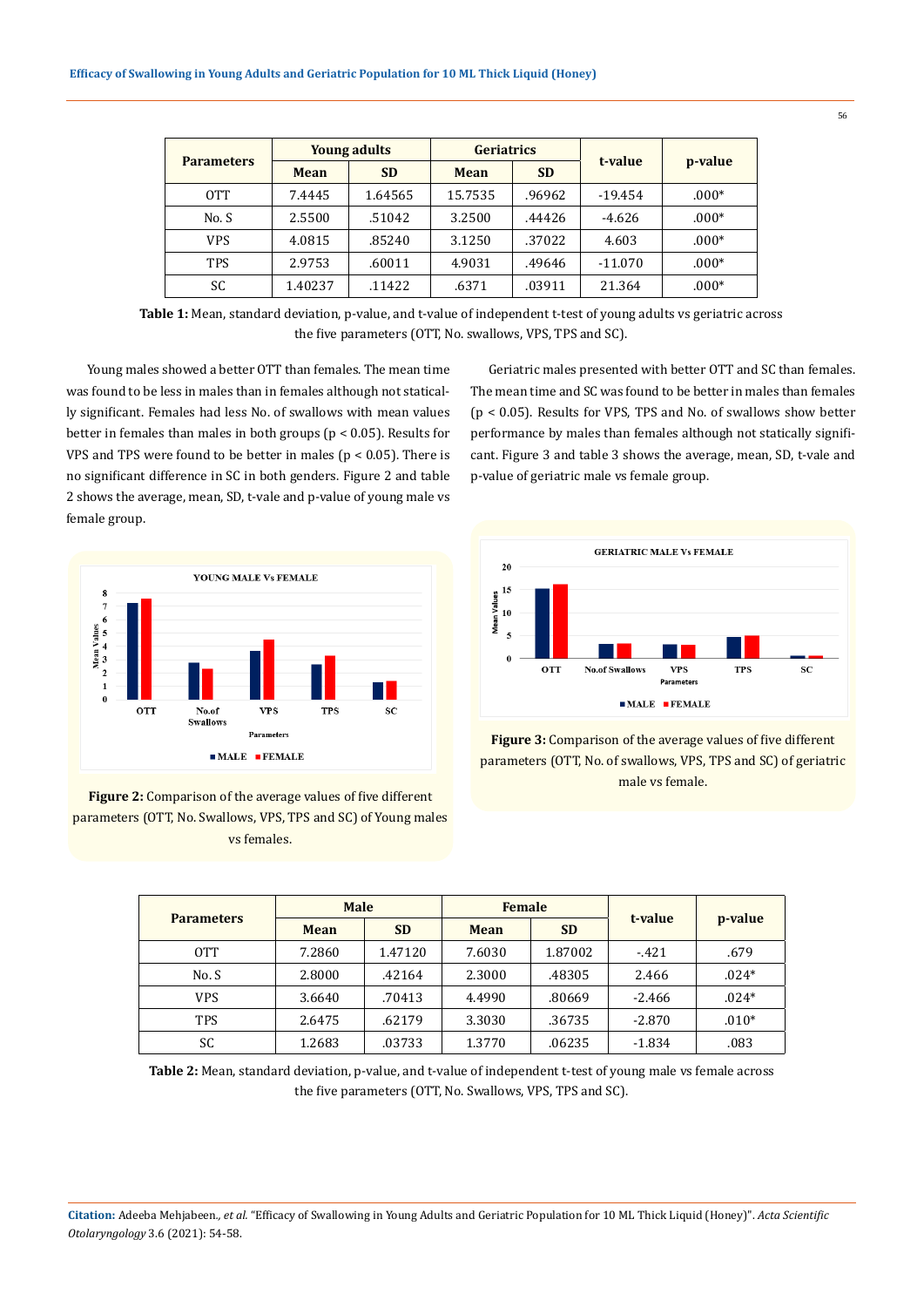| <b>Parameters</b> | <b>Young adults</b> |           | <b>Geriatrics</b> |           |           |         |
|-------------------|---------------------|-----------|-------------------|-----------|-----------|---------|
|                   | Mean                | <b>SD</b> | Mean              | <b>SD</b> | t-value   | p-value |
| 0TT               | 7.4445              | 1.64565   | 15.7535           | .96962    | $-19.454$ | $.000*$ |
| No.S              | 2.5500              | .51042    | 3.2500            | .44426    | $-4.626$  | $.000*$ |
| <b>VPS</b>        | 4.0815              | .85240    | 3.1250            | .37022    | 4.603     | $.000*$ |
| <b>TPS</b>        | 2.9753              | .60011    | 4.9031            | .49646    | $-11.070$ | $.000*$ |
| SC                | 1.40237             | .11422    | .6371             | .03911    | 21.364    | $.000*$ |

**Table 1:** Mean, standard deviation, p-value, and t-value of independent t-test of young adults vs geriatric across the five parameters (OTT, No. swallows, VPS, TPS and SC).

Young males showed a better OTT than females. The mean time was found to be less in males than in females although not statically significant. Females had less No. of swallows with mean values better in females than males in both groups (p < 0.05). Results for VPS and TPS were found to be better in males ( $p < 0.05$ ). There is no significant difference in SC in both genders. Figure 2 and table 2 shows the average, mean, SD, t-vale and p-value of young male vs female group.



**Figure 2:** Comparison of the average values of five different parameters (OTT, No. Swallows, VPS, TPS and SC) of Young males vs females.

Geriatric males presented with better OTT and SC than females. The mean time and SC was found to be better in males than females (p < 0.05). Results for VPS, TPS and No. of swallows show better performance by males than females although not statically significant. Figure 3 and table 3 shows the average, mean, SD, t-vale and p-value of geriatric male vs female group.





| <b>Parameters</b> | <b>Male</b> |           | <b>Female</b> |           |          |         |
|-------------------|-------------|-----------|---------------|-----------|----------|---------|
|                   | Mean        | <b>SD</b> | <b>Mean</b>   | <b>SD</b> | t-value  | p-value |
| OTT               | 7.2860      | 1.47120   | 7.6030        | 1.87002   | $-421$   | .679    |
| No.S              | 2.8000      | .42164    | 2.3000        | .48305    | 2.466    | $.024*$ |
| <b>VPS</b>        | 3.6640      | .70413    | 4.4990        | .80669    | $-2.466$ | $.024*$ |
| <b>TPS</b>        | 2.6475      | .62179    | 3.3030        | .36735    | $-2.870$ | $.010*$ |
| SC                | 1.2683      | .03733    | 1.3770        | .06235    | $-1.834$ | .083    |

**Table 2:** Mean, standard deviation, p-value, and t-value of independent t-test of young male vs female across the five parameters (OTT, No. Swallows, VPS, TPS and SC).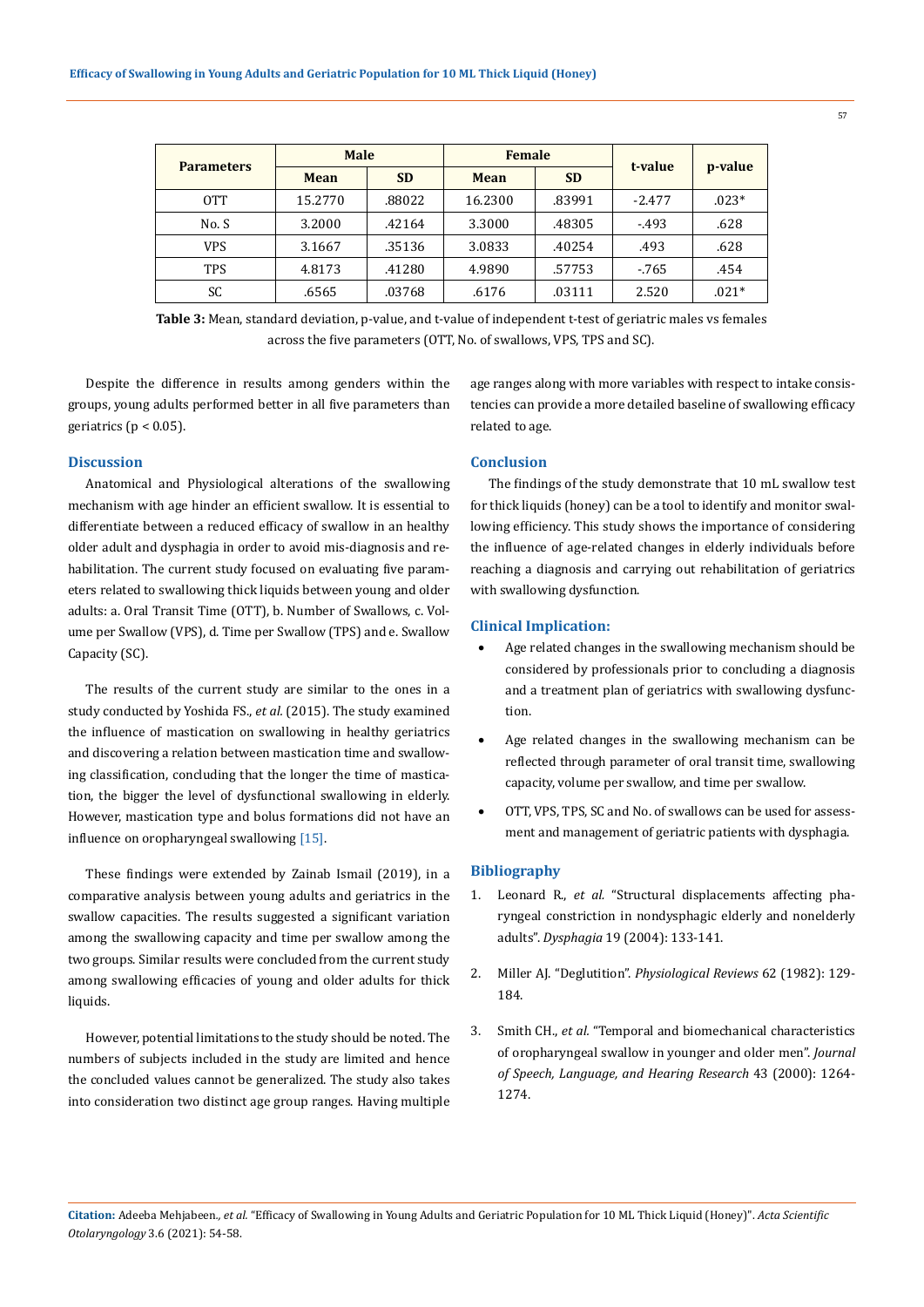| <b>Parameters</b> | <b>Male</b> |           | <b>Female</b> |           |          |         |
|-------------------|-------------|-----------|---------------|-----------|----------|---------|
|                   | Mean        | <b>SD</b> | <b>Mean</b>   | <b>SD</b> | t-value  | p-value |
| OTT               | 15.2770     | .88022    | 16.2300       | .83991    | $-2.477$ | $.023*$ |
| No. S             | 3.2000      | .42164    | 3.3000        | .48305    | $-493$   | .628    |
| <b>VPS</b>        | 3.1667      | .35136    | 3.0833        | .40254    | .493     | .628    |
| <b>TPS</b>        | 4.8173      | .41280    | 4.9890        | .57753    | $-765$   | .454    |
| SC                | .6565       | .03768    | .6176         | .03111    | 2.520    | $.021*$ |

**Table 3:** Mean, standard deviation, p-value, and t-value of independent t-test of geriatric males vs females across the five parameters (OTT, No. of swallows, VPS, TPS and SC).

Despite the difference in results among genders within the groups, young adults performed better in all five parameters than geriatrics ( $p < 0.05$ ).

## **Discussion**

Anatomical and Physiological alterations of the swallowing mechanism with age hinder an efficient swallow. It is essential to differentiate between a reduced efficacy of swallow in an healthy older adult and dysphagia in order to avoid mis-diagnosis and rehabilitation. The current study focused on evaluating five parameters related to swallowing thick liquids between young and older adults: a. Oral Transit Time (OTT), b. Number of Swallows, c. Volume per Swallow (VPS), d. Time per Swallow (TPS) and e. Swallow Capacity (SC).

The results of the current study are similar to the ones in a study conducted by Yoshida FS., *et al.* (2015). The study examined the influence of mastication on swallowing in healthy geriatrics and discovering a relation between mastication time and swallowing classification, concluding that the longer the time of mastication, the bigger the level of dysfunctional swallowing in elderly. However, mastication type and bolus formations did not have an influence on oropharyngeal swallowing [15].

These findings were extended by Zainab Ismail (2019), in a comparative analysis between young adults and geriatrics in the swallow capacities. The results suggested a significant variation among the swallowing capacity and time per swallow among the two groups. Similar results were concluded from the current study among swallowing efficacies of young and older adults for thick liquids.

However, potential limitations to the study should be noted. The numbers of subjects included in the study are limited and hence the concluded values cannot be generalized. The study also takes into consideration two distinct age group ranges. Having multiple age ranges along with more variables with respect to intake consistencies can provide a more detailed baseline of swallowing efficacy related to age.

# **Conclusion**

The findings of the study demonstrate that 10 mL swallow test for thick liquids (honey) can be a tool to identify and monitor swallowing efficiency. This study shows the importance of considering the influence of age-related changes in elderly individuals before reaching a diagnosis and carrying out rehabilitation of geriatrics with swallowing dysfunction.

## **Clinical Implication:**

- Age related changes in the swallowing mechanism should be considered by professionals prior to concluding a diagnosis and a treatment plan of geriatrics with swallowing dysfunction.
- Age related changes in the swallowing mechanism can be reflected through parameter of oral transit time, swallowing capacity, volume per swallow, and time per swallow.
- OTT, VPS, TPS, SC and No. of swallows can be used for assessment and management of geriatric patients with dysphagia.

#### **Bibliography**

- 1. Leonard R., *et al.* ["Structural displacements affecting pha](https://pubmed.ncbi.nlm.nih.gov/15382802/)[ryngeal constriction in nondysphagic elderly and nonelderly](https://pubmed.ncbi.nlm.nih.gov/15382802/)  adults". *Dysphagia* [19 \(2004\): 133-141.](https://pubmed.ncbi.nlm.nih.gov/15382802/)
- 2. Miller AJ. "Deglutition". *[Physiological Reviews](https://pubmed.ncbi.nlm.nih.gov/7034008/)* 62 (1982): 129- [184.](https://pubmed.ncbi.nlm.nih.gov/7034008/)
- 3. Smith CH., *et al.* ["Temporal and biomechanical characteristics](https://pubmed.ncbi.nlm.nih.gov/11063246/)  [of oropharyngeal swallow in younger and older men".](https://pubmed.ncbi.nlm.nih.gov/11063246/) *Journal [of Speech, Language, and Hearing Research](https://pubmed.ncbi.nlm.nih.gov/11063246/)* 43 (2000): 1264- [1274.](https://pubmed.ncbi.nlm.nih.gov/11063246/)